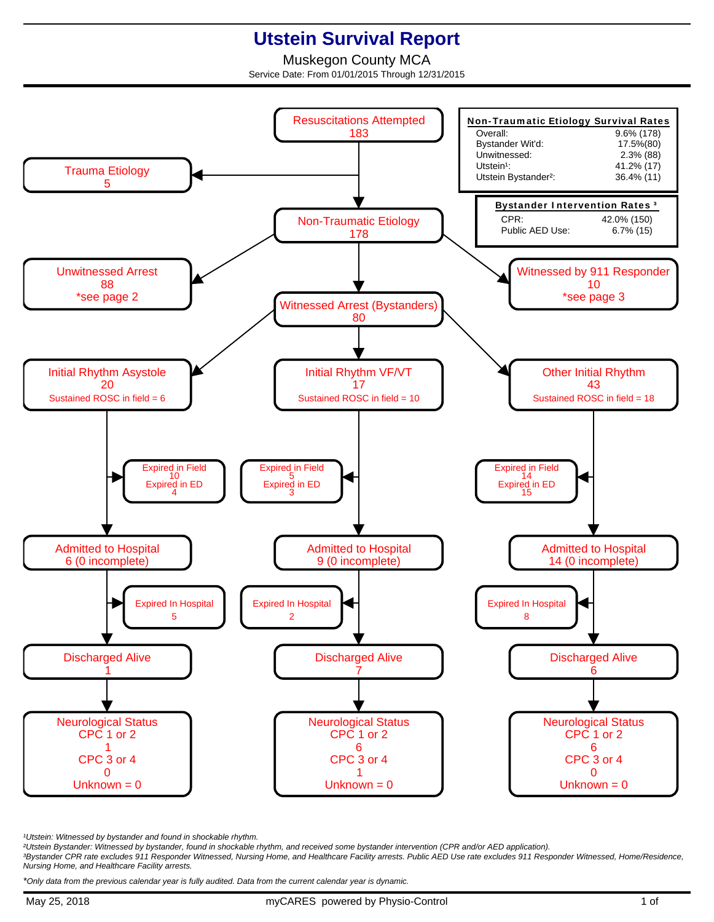## **Utstein Survival Report**

Muskegon County MCA Service Date: From 01/01/2015 Through 12/31/2015



<sup>1</sup>Utstein: Witnessed by bystander and found in shockable rhythm.

²Utstein Bystander: Witnessed by bystander, found in shockable rhythm, and received some bystander intervention (CPR and/or AED application).

³Bystander CPR rate excludes 911 Responder Witnessed, Nursing Home, and Healthcare Facility arrests. Public AED Use rate excludes 911 Responder Witnessed, Home/Residence, Nursing Home, and Healthcare Facility arrests.

\*Only data from the previous calendar year is fully audited. Data from the current calendar year is dynamic.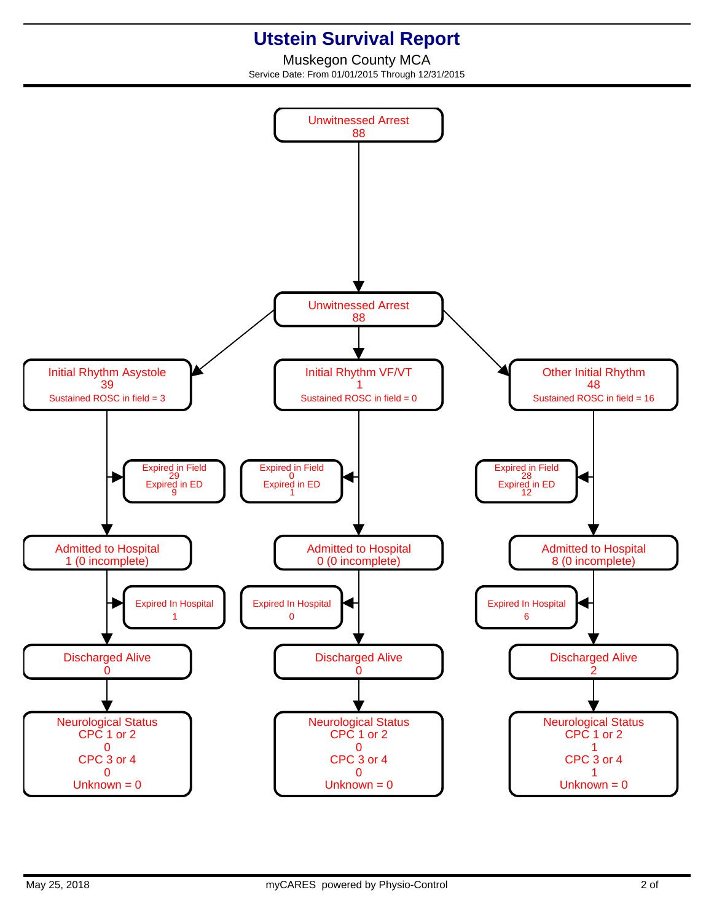## **Utstein Survival Report**

Muskegon County MCA Service Date: From 01/01/2015 Through 12/31/2015